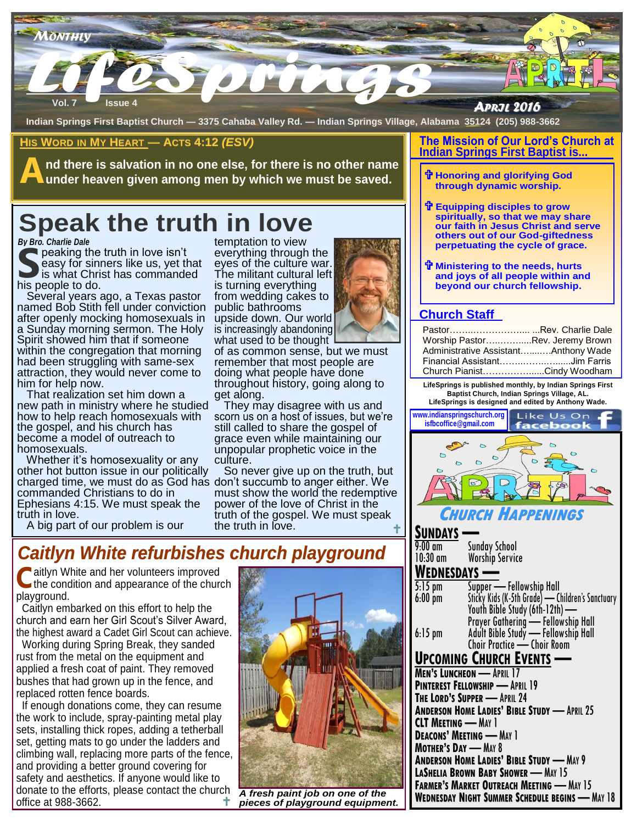

**Indian Springs First Baptist Church — 3375 Cahaba Valley Rd. — Indian Springs Village, Alabama 35124 (205) 988-3662**

## **HIS WORD IN MY HEART — ACTS 4:12** *(ESV)*

**A nd there is salvation in no one else, for there is no other name under heaven given among men by which we must be saved.** 

# **Speak the truth in love**

*By Bro. Charlie Dale*

**S** his people to do. peaking the truth in love isn't easy for sinners like us, yet that is what Christ has commanded

manded The mili<br>is turnin<br>as pastor from we<br>conviction public b<br>sexuals in upside c<br>The Holy is increas<br>meone what use<br>morning of as co<br>me-sex rememb Several years ago, a Texas pastor named Bob Stith fell under conviction after openly mocking homosexuals in a Sunday morning sermon. The Holy Spirit showed him that if someone within the congregation that morning had been struggling with same-sex attraction, they would never come to him for help now.

 That realization set him down a new path in ministry where he studied how to help reach homosexuals with the gospel, and his church has become a model of outreach to homosexuals.

 Whether it's homosexuality or any other hot button issue in our politically charged time, we must do as God has commanded Christians to do in Ephesians 4:15. We must speak the truth in love.

A big part of our problem is our

## *Caitlyn White refurbishes church playground*

**C** aitlyn White and her volunteers improved<br>the condition and appearance of the churc the condition and appearance of the church playground.

 Caitlyn embarked on this effort to help the church and earn her Girl Scout's Silver Award, the highest award a Cadet Girl Scout can achieve.

 Working during Spring Break, they sanded rust from the metal on the equipment and applied a fresh coat of paint. They removed bushes that had grown up in the fence, and replaced rotten fence boards.

 If enough donations come, they can resume the work to include, spray-painting metal play sets, installing thick ropes, adding a tetherball set, getting mats to go under the ladders and climbing wall, replacing more parts of the fence, and providing a better ground covering for safety and aesthetics. If anyone would like to donate to the efforts, please contact the church office at 988-3662. t

*A fresh paint job on one of the pieces of playground equipment.*

### **The Mission of Our Lord's Church at Indian Springs First Baptist is...**

- **Honoring and glorifying God through dynamic worship.**
- **Equipping disciples to grow spiritually, so that we may share our faith in Jesus Christ and serve others out of our God-giftedness perpetuating the cycle of grace.**
- **Ministering to the needs, hurts and joys of all people within and beyond our church fellowship.**

## **Church Staff**

| PastorRev. Charlie Dale              |  |
|--------------------------------------|--|
| Worship PastorRev. Jeremy Brown      |  |
| Administrative AssistantAnthony Wade |  |
| Financial AssistantJim Farris        |  |
| Church PianistCindy Woodham          |  |

**LifeSprings is published monthly, by Indian Springs First Baptist Church, Indian Springs Village, AL. LifeSprings is designed and edited by Anthony Wade.** 



## **SUNDAYS —**

| 9:00 am                                                |                                                                              |  |
|--------------------------------------------------------|------------------------------------------------------------------------------|--|
| 10:30 am                                               | Sunday School<br>Worship Service                                             |  |
|                                                        |                                                                              |  |
| <b>WEDNESDAYS</b> —                                    |                                                                              |  |
| $\overline{5}$ :15 pm                                  |                                                                              |  |
| $6:00$ pm                                              | Supper — Fellowship Hall<br>Sticky Kids (K-5th Grade) — Children's Sanctuary |  |
|                                                        | Youth Bible Study (6th-12th) -                                               |  |
|                                                        | Prayer Gathering - Fellowship Hall                                           |  |
| $6:15 \text{ pm}$                                      |                                                                              |  |
|                                                        | Adult Bible Study — Fellowship Hall<br>Choir Practice — Choir Room           |  |
|                                                        |                                                                              |  |
|                                                        | <b>UPCOMING CHURCH EVENTS</b> —                                              |  |
| <b>MEN'S LUNCHEON - APRIL 17</b>                       |                                                                              |  |
| <b>PINTEREST FELLOWSHIP - APRIL 19</b>                 |                                                                              |  |
| THE LORD'S SUPPER - APRIL 24                           |                                                                              |  |
| <b>ANDERSON HOME LADIES' BIBLE STUDY -</b> APRIL 25    |                                                                              |  |
|                                                        |                                                                              |  |
| <b>CLT MEETING — MAY 1</b>                             |                                                                              |  |
| <b>DEACONS' MEETING - MAY 1</b>                        |                                                                              |  |
| <b>MOTHER'S DAY - MAY 8</b>                            |                                                                              |  |
| <b>ANDERSON HOME LADIES' BIBLE STUDY - MAY 9</b>       |                                                                              |  |
| <b>LASHELIA BROWN BABY SHOWER - MAY 15</b>             |                                                                              |  |
| <b>FARMER'S MARKET OUTREACH MEETING - MAY 15</b>       |                                                                              |  |
| <b>WEDNESDAY NIGHT SUMMER SCHEDULE BEGINS - MAY 18</b> |                                                                              |  |
|                                                        |                                                                              |  |

temptation to view everything through the eyes of the culture war. The militant cultural left is turning everything from wedding cakes to public bathrooms

upside down. Our world is increasingly abandoning what used to be thought of as common sense, but we must

remember that most people are doing what people have done throughout history, going along to get along.

 They may disagree with us and scorn us on a host of issues, but we're still called to share the gospel of grace even while maintaining our unpopular prophetic voice in the culture.

 So never give up on the truth, but don't succumb to anger either. We must show the world the redemptive power of the love of Christ in the truth of the gospel. We must speak the truth in love. t